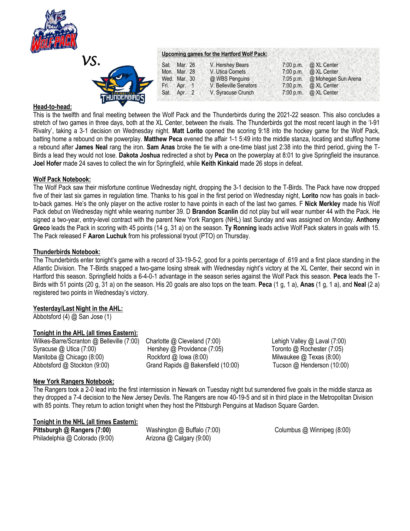



### **Head-to-head:**

This is the twelfth and final meeting between the Wolf Pack and the Thunderbirds during the 2021-22 season. This also concludes a stretch of two games in three days, both at the XL Center, between the rivals. The Thunderbirds got the most recent laugh in the 'I-91 Rivalry', taking a 3-1 decision on Wednesday night. **Matt Lorito** opened the scoring 9:18 into the hockey game for the Wolf Pack, batting home a rebound on the powerplay. **Matthew Peca** evened the affair 1-1 5:49 into the middle stanza, locating and stuffing home a rebound after **James Neal** rang the iron. **Sam Anas** broke the tie with a one-time blast just 2:38 into the third period, giving the T-Birds a lead they would not lose. **Dakota Joshua** redirected a shot by **Peca** on the powerplay at 8:01 to give Springfield the insurance. **Joel Hofer** made 24 saves to collect the win for Springfield, while **Keith Kinkaid** made 26 stops in defeat.

### **Wolf Pack Notebook:**

The Wolf Pack saw their misfortune continue Wednesday night, dropping the 3-1 decision to the T-Birds. The Pack have now dropped five of their last six games in regulation time. Thanks to his goal in the first period on Wednesday night, **Lorito** now has goals in backto-back games. He's the only player on the active roster to have points in each of the last two games. F **Nick Merkley** made his Wolf Pack debut on Wednesday night while wearing number 39. D **Brandon Scanlin** did not play but will wear number 44 with the Pack. He signed a two-year, entry-level contract with the parent New York Rangers (NHL) last Sunday and was assigned on Monday. **Anthony Greco** leads the Pack in scoring with 45 points (14 g, 31 a) on the season. **Ty Ronning** leads active Wolf Pack skaters in goals with 15. The Pack released F **Aaron Luchuk** from his professional tryout (PTO) on Thursday.

### **Thunderbirds Notebook:**

The Thunderbirds enter tonight's game with a record of 33-19-5-2, good for a points percentage of .619 and a first place standing in the Atlantic Division. The T-Birds snapped a two-game losing streak with Wednesday night's victory at the XL Center, their second win in Hartford this season. Springfield holds a 6-4-0-1 advantage in the season series against the Wolf Pack this season. **Peca** leads the T-Birds with 51 points (20 g, 31 a) on the season. His 20 goals are also tops on the team. **Peca** (1 g, 1 a), **Anas** (1 g, 1 a), and **Neal** (2 a) registered two points in Wednesday's victory.

# **Yesterday/Last Night in the AHL:**

Abbotsford (4) @ San Jose (1)

# **Tonight in the AHL (all times Eastern):**

Abbotsford @ Stockton (9:00) Grand Rapids @ Bakersfield (10:00) Tucson @ Henderson (10:00)

Wilkes-Barre/Scranton @ Belleville (7:00) Charlotte @ Cleveland (7:00) Lehigh Valley @ Laval (7:00) Syracuse @ Utica (7:00) Hershey @ Providence (7:05) Toronto @ Rochester (7:05) Manitoba @ Chicago (8:00) Rockford @ Iowa (8:00) Milwaukee @ Texas (8:00)

# **New York Rangers Notebook:**

The Rangers took a 2-0 lead into the first intermission in Newark on Tuesday night but surrendered five goals in the middle stanza as they dropped a 7-4 decision to the New Jersey Devils. The Rangers are now 40-19-5 and sit in third place in the Metropolitan Division with 85 points. They return to action tonight when they host the Pittsburgh Penguins at Madison Square Garden.

# **Tonight in the NHL (all times Eastern):**

Philadelphia @ Colorado (9:00) Arizona @ Calgary (9:00)

**Pittsburgh @ Rangers (7:00)** Washington @ Buffalo (7:00) Columbus @ Winnipeg (8:00)